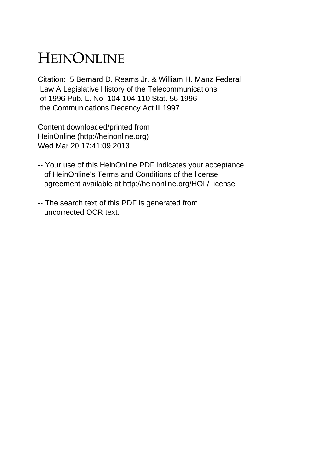## HEINONLINE

Citation: 5 Bernard D. Reams Jr. & William H. Manz Federal Law A Legislative History of the Telecommunications of 1996 Pub. L. No. 104-104 110 Stat. 56 1996 the Communications Decency Act iii 1997

Content downloaded/printed from HeinOnline (http://heinonline.org) Wed Mar 20 17:41:09 2013

- -- Your use of this HeinOnline PDF indicates your acceptance of HeinOnline's Terms and Conditions of the license agreement available at http://heinonline.org/HOL/License
- -- The search text of this PDF is generated from uncorrected OCR text.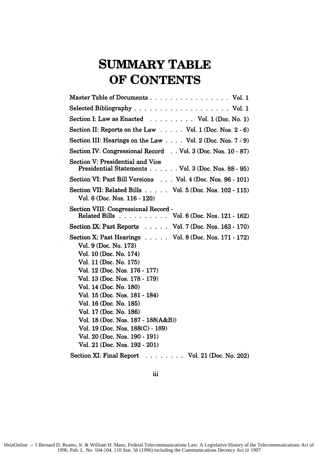## **SUMMARY TABLE OF CONTENTS**

 $\bar{z}$ 

| Master Table of Documents Vol. 1                                                                                                                                                                                                                                                                                                                                                                                                                   |
|----------------------------------------------------------------------------------------------------------------------------------------------------------------------------------------------------------------------------------------------------------------------------------------------------------------------------------------------------------------------------------------------------------------------------------------------------|
|                                                                                                                                                                                                                                                                                                                                                                                                                                                    |
| Section I: Law as Enacted $\ldots \ldots \ldots$ Vol. 1 (Doc. No. 1)                                                                                                                                                                                                                                                                                                                                                                               |
| Section II: Reports on the Law $\ldots$ . Vol. 1 (Doc. Nos. 2 - 6)                                                                                                                                                                                                                                                                                                                                                                                 |
| Section III: Hearings on the Law $\ldots$ Vol. 2 (Doc. Nos. 7 - 9)                                                                                                                                                                                                                                                                                                                                                                                 |
| Section IV: Congressional Record Vol. 3 (Doc. Nos. 10 - 87)                                                                                                                                                                                                                                                                                                                                                                                        |
| Section V: Presidential and Vice<br>Presidential Statements Vol. 3 (Doc. Nos. 88 - 95)                                                                                                                                                                                                                                                                                                                                                             |
| Section VI: Past Bill Versions Vol. 4 (Doc. Nos. 96 - 101)                                                                                                                                                                                                                                                                                                                                                                                         |
| Section VII: Related Bills Vol. 5 (Doc. Nos. 102 - 115)<br>Vol. 6 (Doc. Nos. 116 - 120)                                                                                                                                                                                                                                                                                                                                                            |
| Section VIII: Congressional Record -<br>Related Bills Vol. 6 (Doc. Nos. 121 - 162)                                                                                                                                                                                                                                                                                                                                                                 |
| Section IX: Past Reports Vol. 7 (Doc. Nos. 163 - 170)                                                                                                                                                                                                                                                                                                                                                                                              |
| Section X: Past Hearings $\ldots$ . $\ldots$ Vol. 8 (Doc. Nos. 171 - 172)<br>Vol. 9 (Doc. No. 173)<br>Vol. 10 (Doc. No. 174)<br>Vol. 11 (Doc. No. 175)<br>Vol. 12 (Doc. Nos. 176 - 177)<br>Vol. 13 (Doc. Nos. 178 - 179)<br>Vol. 14 (Doc. No. 180)<br>Vol. 15 (Doc. Nos. 181 - 184)<br>Vol. 16 (Doc. No. 185)<br>Vol. 17 (Doc. No. 186)<br>Vol. 18 (Doc. Nos. 187 - 188(A&B))<br>Vol. 19 (Doc. Nos. 188(C) - 189)<br>Vol. 20 (Doc. Nos. 190 - 191) |
| Vol. 21 (Doc. Nos. 192 - 201)                                                                                                                                                                                                                                                                                                                                                                                                                      |
| Section XI: Final Report<br>$\ldots$ Vol. 21 (Doc. No. 202)                                                                                                                                                                                                                                                                                                                                                                                        |